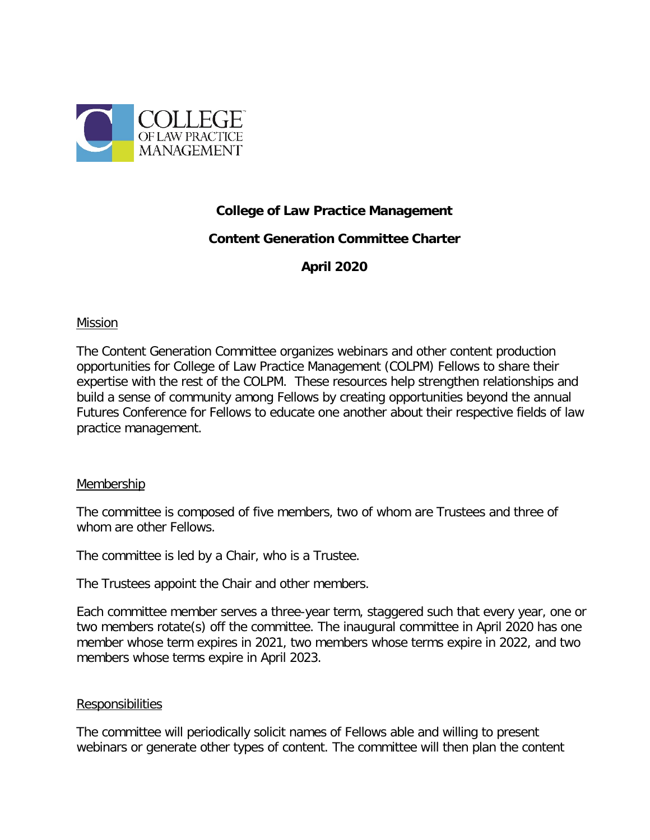

# **College of Law Practice Management**

# **Content Generation Committee Charter**

**April 2020**

### Mission

The Content Generation Committee organizes webinars and other content production opportunities for College of Law Practice Management (COLPM) Fellows to share their expertise with the rest of the COLPM. These resources help strengthen relationships and build a sense of community among Fellows by creating opportunities beyond the annual Futures Conference for Fellows to educate one another about their respective fields of law practice management.

## **Membership**

The committee is composed of five members, two of whom are Trustees and three of whom are other Fellows.

The committee is led by a Chair, who is a Trustee.

The Trustees appoint the Chair and other members.

Each committee member serves a three-year term, staggered such that every year, one or two members rotate(s) off the committee. The inaugural committee in April 2020 has one member whose term expires in 2021, two members whose terms expire in 2022, and two members whose terms expire in April 2023.

### Responsibilities

The committee will periodically solicit names of Fellows able and willing to present webinars or generate other types of content. The committee will then plan the content